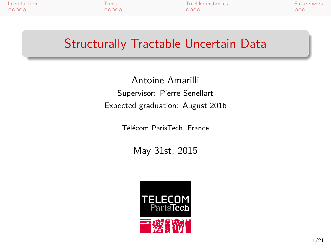Introduction Trees Treelike instances Future work

## Structurally Tractable Uncertain Data

Antoine Amarilli Supervisor: Pierre Senellart Expected graduation: August 2016

Télécom ParisTech, France

May 31st, 2015

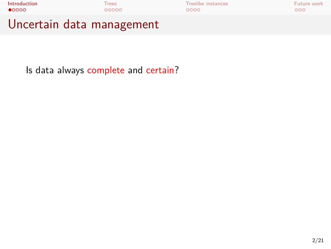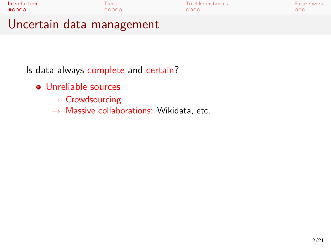| Introduction              | Trees | Treelike instances | Future work |
|---------------------------|-------|--------------------|-------------|
| $\bullet$ 0000            | 00000 | 0000               | 000         |
| Uncertain data management |       |                    |             |

- Unreliable sources
	- *→* Crowdsourcing
	- *→* Massive collaborations: Wikidata, etc.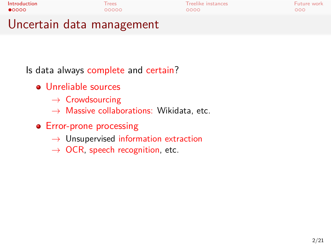| Introduction              | Trees | Treelike instances | Future work |
|---------------------------|-------|--------------------|-------------|
| $\bullet$ 0000            | 00000 | 0000               | റററ         |
| Uncertain data management |       |                    |             |

- Unreliable sources
	- *→* Crowdsourcing
	- *→* Massive collaborations: Wikidata, etc.
- Error-prone processing
	- *→* Unsupervised information extraction
	- *→* OCR, speech recognition, etc.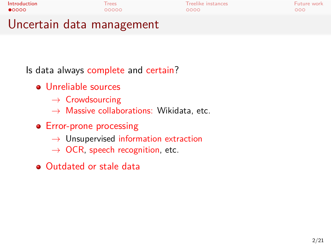| Introduction              | <b>Trees</b> | Treelike instances | Future work |
|---------------------------|--------------|--------------------|-------------|
| $\bullet$ 0000            | 00000        | 0000               | റററ         |
| Uncertain data management |              |                    |             |

- Unreliable sources
	- *→* Crowdsourcing
	- *→* Massive collaborations: Wikidata, etc.
- Error-prone processing
	- *→* Unsupervised information extraction
	- *→* OCR, speech recognition, etc.
- Outdated or stale data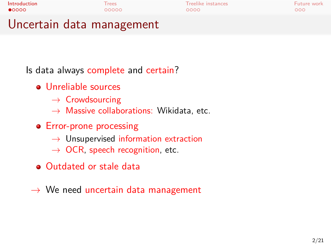# Introduction Trees Treelike instances Future work Uncertain data management

- Unreliable sources
	- *→* Crowdsourcing
	- *→* Massive collaborations: Wikidata, etc.
- Error-prone processing
	- *→* Unsupervised information extraction
	- *→* OCR, speech recognition, etc.
- Outdated or stale data
- *→* We need uncertain data management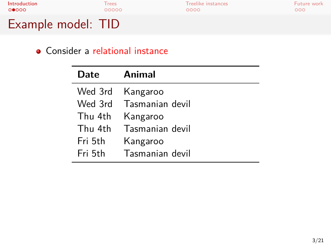## Consider a relational instance

| Date    | Animal                  |
|---------|-------------------------|
|         | Wed 3rd Kangaroo        |
|         | Wed 3rd Tasmanian devil |
| Thu 4th | Kangaroo                |
| Thu 4th | Tasmanian devil         |
| Fri 5th | Kangaroo                |
| Fri 5th | Tasmanian devil         |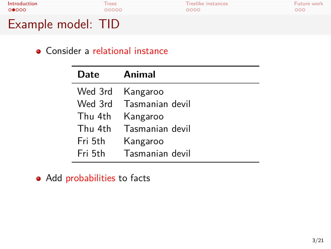Consider a relational instance

| Date    | Animal                  |
|---------|-------------------------|
|         | Wed 3rd Kangaroo        |
|         | Wed 3rd Tasmanian devil |
| Thu 4th | Kangaroo                |
| Thu 4th | Tasmanian devil         |
| Fri 5th | Kangaroo                |
| Fri 5th | Tasmanian devil         |

• Add probabilities to facts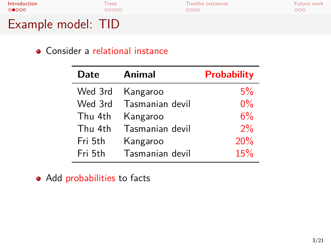## Consider a relational instance

| <b>Date</b> | <b>Animal</b>   | <b>Probability</b> |
|-------------|-----------------|--------------------|
| Wed 3rd     | Kangaroo        | 5%                 |
| Wed 3rd     | Tasmanian devil | $0\%$              |
| Thu 4th     | Kangaroo        | 6%                 |
| Thu 4th     | Tasmanian devil | 2%                 |
| Fri 5th     | Kangaroo        | 20%                |
| Fri 5th     | Tasmanian devil | 15%                |

• Add probabilities to facts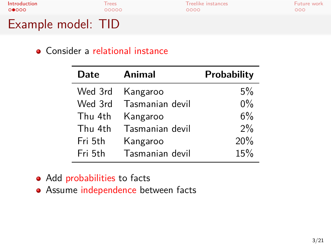### Consider a relational instance

| <b>Date</b> | <b>Animal</b>   | Probability |
|-------------|-----------------|-------------|
| Wed 3rd     | Kangaroo        | $5\%$       |
| Wed 3rd     | Tasmanian devil | $0\%$       |
| Thu 4th     | Kangaroo        | 6%          |
| Thu 4th     | Tasmanian devil | $2\%$       |
| Fri 5th     | Kangaroo        | 20%         |
| Fri 5th     | Tasmanian devil | 15%         |

• Add probabilities to facts

**•** Assume independence between facts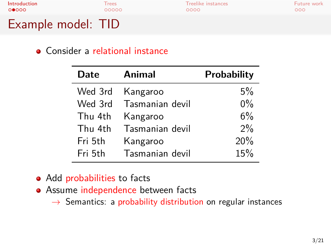# **Introduction** Trees Treelike instances Future work<br> **O●**<br> **O●**<br> **O●**<br> **O●**<br> **O**●<br> **O**●<br> **O**●<br> **O**●<br> **O**●<br> **O**● Example model: TID

### Consider a relational instance

| Date    | Animal          | Probability |
|---------|-----------------|-------------|
| Wed 3rd | Kangaroo        | $5\%$       |
| Wed 3rd | Tasmanian devil | $0\%$       |
| Thu 4th | Kangaroo        | 6%          |
| Thu 4th | Tasmanian devil | $2\%$       |
| Fri 5th | Kangaroo        | 20%         |
| Fri 5th | Tasmanian devil | 15%         |

• Add probabilities to facts

- **•** Assume independence between facts
	- *→* Semantics: a probability distribution on regular instances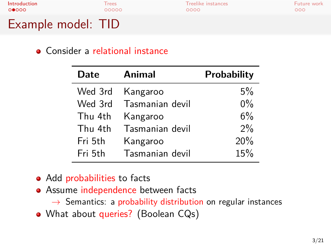## **Introduction** Trees Treelike instances Future work<br> **O●**<br> **O●**<br> **O●**<br> **O●**<br> **O**●<br> **O**●<br> **O**●<br> **O**●<br> **O**●<br> **O**● Example model: TID

### Consider a relational instance

| Date    | Animal          | <b>Probability</b> |
|---------|-----------------|--------------------|
| Wed 3rd | Kangaroo        | 5%                 |
| Wed 3rd | Tasmanian devil | $0\%$              |
| Thu 4th | Kangaroo        | 6%                 |
| Thu 4th | Tasmanian devil | 2%                 |
| Fri 5th | Kangaroo        | 20%                |
| Fri 5th | Tasmanian devil | 15%                |

• Add probabilities to facts

- Assume independence between facts
	- *→* Semantics: a probability distribution on regular instances
- What about queries? (Boolean CQs)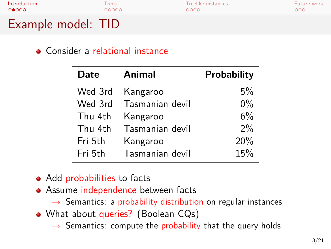Consider a relational instance

| Date    | Animal          | Probability |
|---------|-----------------|-------------|
| Wed 3rd | Kangaroo        | 5%          |
| Wed 3rd | Tasmanian devil | $0\%$       |
| Thu 4th | Kangaroo        | 6%          |
| Thu 4th | Tasmanian devil | 2%          |
| Fri 5th | Kangaroo        | 20%         |
| Fri 5th | Tasmanian devil | 15%         |

- Add probabilities to facts
- Assume independence between facts *→* Semantics: a probability distribution on regular instances
- What about queries? (Boolean CQs)
	- *→* Semantics: compute the probability that the query holds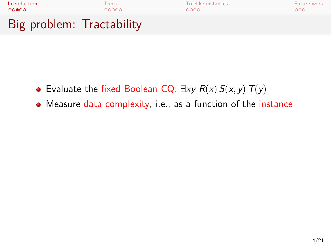

- Evaluate the fixed Boolean CQ: *∃xy R*(*x*) *S*(*x, y*)*T*(*y*)
- Measure data complexity, i.e., as a function of the instance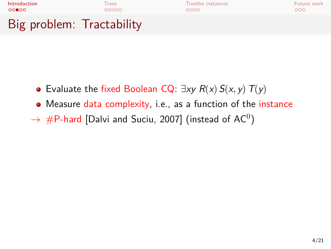

- Evaluate the fixed Boolean CQ: *∃xy R*(*x*) *S*(*x, y*)*T*(*y*)
- Measure data complexity, i.e., as a function of the instance
- $\rightarrow \,\# \mathsf{P}\textrm{-}$ hard [Dalvi and Suciu, 2007] (instead of AC $^0)$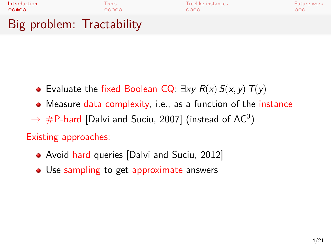

- Evaluate the fixed Boolean CQ: *∃xy R*(*x*) *S*(*x, y*)*T*(*y*)
- Measure data complexity, i.e., as a function of the instance
- $\rightarrow \,\# \mathsf{P}\textrm{-}$ hard [Dalvi and Suciu, 2007] (instead of AC $^0)$

### Existing approaches:

- Avoid hard queries [Dalvi and Suciu, 2012]
- Use sampling to get approximate answers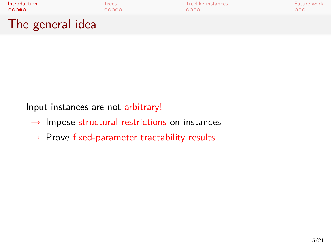

Input instances are not arbitrary!

- *→* Impose structural restrictions on instances
- *→* Prove fixed-parameter tractability results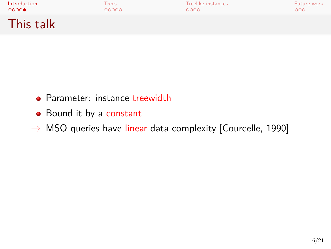| Introduction | Trees | <b>Treelike instances</b> | Future work |
|--------------|-------|---------------------------|-------------|
| 0000         | 00000 | 0000                      | 000         |
| This talk    |       |                           |             |

- Parameter: instance treewidth
- Bound it by a constant
- *→* MSO queries have linear data complexity [Courcelle, 1990]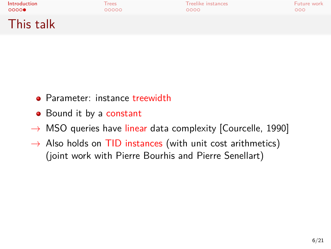| <b>Introduction</b> | Trees | <b>Treelike instances</b> | Future work |
|---------------------|-------|---------------------------|-------------|
| 0000                | 00000 | 0000                      | 000         |
| This talk           |       |                           |             |

- Parameter: instance treewidth
- Bound it by a constant
- *→* MSO queries have linear data complexity [Courcelle, 1990]
- *→* Also holds on TID instances (with unit cost arithmetics) (joint work with Pierre Bourhis and Pierre Senellart)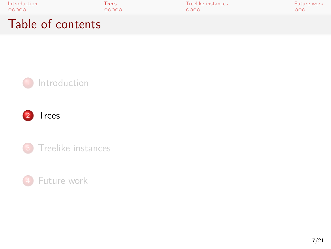| Introduction      | Trees | Treelike instances | Future work |
|-------------------|-------|--------------------|-------------|
| 00000             | 00000 | 0000               | 000         |
| Table of contents |       |                    |             |



4 Future work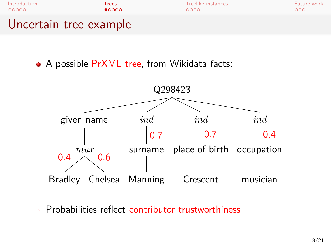

• A possible PrXML tree, from Wikidata facts:



*→* Probabilities reflect contributor trustworthiness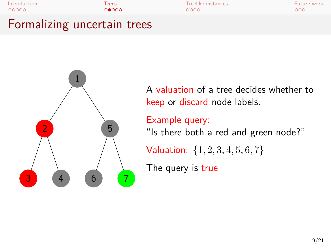



A valuation of a tree decides whether to keep or discard node labels.

Example query:

"Is there both a red and green node?"

Valuation: *{*1*,* 2*,* 3*,* 4*,* 5*,* 6*,* 7*}*

The query is true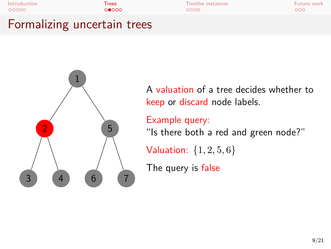



A valuation of a tree decides whether to keep or discard node labels.

Example query: "Is there both a red and green node?"

Valuation: *{*1*,* 2*,* 5*,* 6*}*

The query is false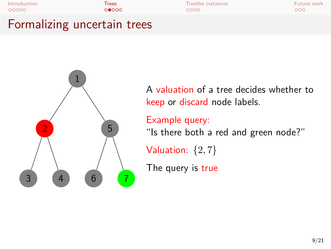



A valuation of a tree decides whether to keep or discard node labels.

Example query: "Is there both a red and green node?"

Valuation: *{*2*,* 7*}*

The query is true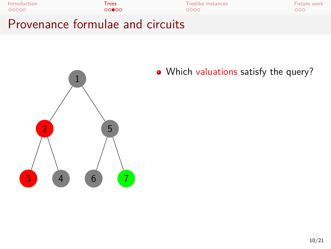



• Which valuations satisfy the query?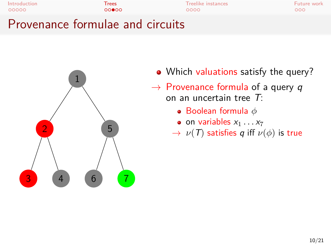



- Which valuations satisfy the query?
- *→* Provenance formula of a query *q* on an uncertain tree *T*:
	- Boolean formula *ϕ*
	- $\bullet$  on variables  $x_1 \ldots x_7$
	- *→ ν*(*T*) satisfies *q* iff *ν*(*ϕ*) is true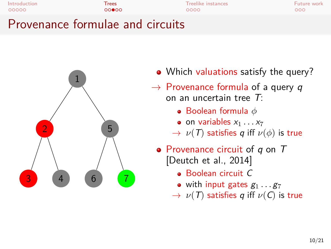



- Which valuations satisfy the query?
- *→* Provenance formula of a query *q* on an uncertain tree *T*:
	- Boolean formula *ϕ*
	- $\bullet$  on variables  $x_1 \ldots x_7$
	- *→ ν*(*T*) satisfies *q* iff *ν*(*ϕ*) is true
- Provenance circuit of *q* on *T* [Deutch et al., 2014]
	- Boolean circuit *C*
	- with input gates  $g_1 \ldots g_7$
	- *→ ν*(*T*) satisfies *q* iff *ν*(*C*) is true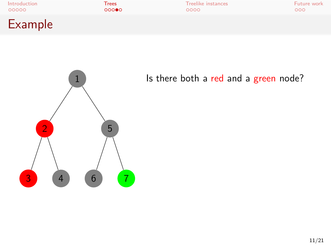



Is there both a red and a green node?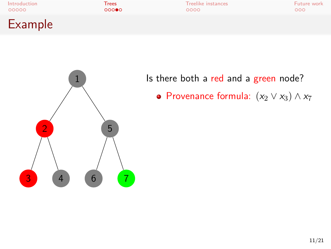



Is there both a red and a green node?

Provenance formula: (*x*<sup>2</sup> *∨ x*3) *∧ x*<sup>7</sup>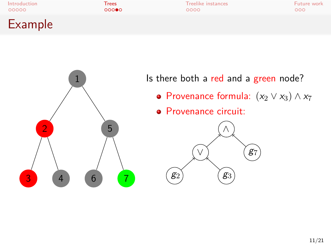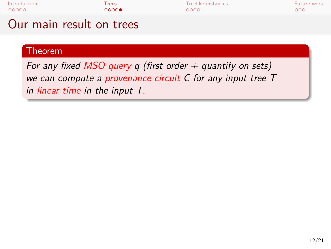

*For any fixed MSO query q (first order + quantify on sets) we can compute a provenance circuit C for any input tree T in linear time in the input T.*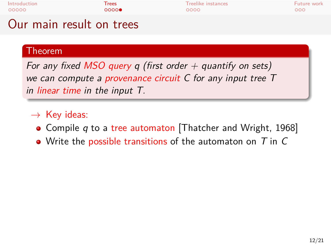

### Theorem

*For any fixed MSO query q (first order + quantify on sets) we can compute a provenance circuit C for any input tree T in linear time in the input T.*

- *→* Key ideas:
- Compile *q* to a tree automaton [Thatcher and Wright, 1968]
- Write the possible transitions of the automaton on *T* in *C*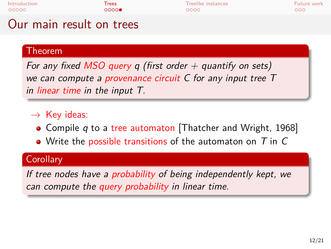| Introduction | Trees | Treelike instances | Future work |
|--------------|-------|--------------------|-------------|
| 00000        | 0000  | 0000               | 000         |
|              |       |                    |             |

## Our main result on trees

### Theorem

*For any fixed MSO query q (first order + quantify on sets) we can compute a provenance circuit C for any input tree T in linear time in the input T.*

- *→* Key ideas:
- Compile *q* to a tree automaton [Thatcher and Wright, 1968]
- Write the possible transitions of the automaton on *T* in *C*

### **Corollary**

*If tree nodes have a probability of being independently kept, we can compute the query probability in linear time.*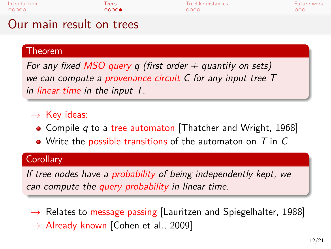| Introduction | Trees | Treelike instances |
|--------------|-------|--------------------|
| 00000        | ററററ⊜ | 0000               |
|              |       |                    |

## Our main result on trees

### Theorem

*For any fixed MSO query q (first order + quantify on sets) we can compute a provenance circuit C for any input tree T in linear time in the input T.*

- *→* Key ideas:
- Compile *q* to a tree automaton [Thatcher and Wright, 1968]
- Write the possible transitions of the automaton on *T* in *C*

### **Corollary**

*If tree nodes have a probability of being independently kept, we can compute the query probability in linear time.*

- *→* Relates to message passing [Lauritzen and Spiegelhalter, 1988]
- *→* Already known [Cohen et al., 2009]

**Inture work**<br>Trees Trees Trees Trees Trees Trees Trees Instances Trees Trees Trees Trees Trees Trees Trees Trees Trees Trees Trees Trees Trees Trees Trees Trees Trees Trees Trees Trees Trees Trees Trees Trees Trees Trees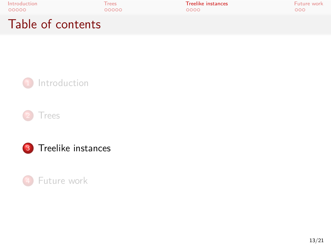

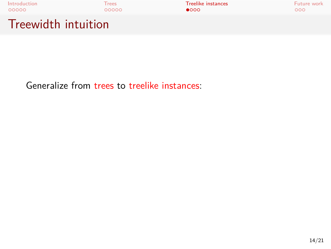

Generalize from trees to treelike instances: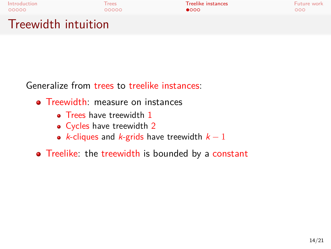# Introduction Trees Treelike instances Future work Treewidth intuition

Generalize from trees to treelike instances:

- **•** Treewidth: measure on instances
	- Trees have treewidth 1
	- Cycles have treewidth 2
	- *k*-cliques and *k*-grids have treewidth *k −* 1
- Treelike: the treewidth is bounded by a constant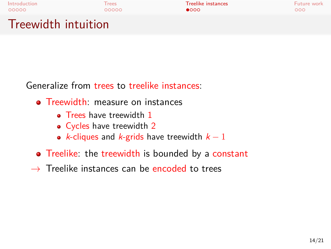# Introduction Trees Treelike instances Future work Treewidth intuition

Generalize from trees to treelike instances:

- **•** Treewidth: measure on instances
	- Trees have treewidth 1
	- Cycles have treewidth 2
	- *k*-cliques and *k*-grids have treewidth *k −* 1
- Treelike: the treewidth is bounded by a constant
- *→* Treelike instances can be encoded to trees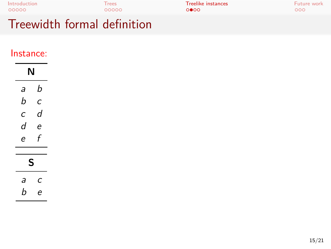| Introduction | Trees | <b>Treelike instances</b> | Future work |
|--------------|-------|---------------------------|-------------|
| 00000        | 00000 | 0000                      | 000         |
| --<br>.      | .     |                           |             |

#### Treewidth formal definition

#### Instance:

| N                |     |
|------------------|-----|
| $a \quad b$      |     |
| $b$ $c$          |     |
| $c$ d            |     |
| $d$ e<br>$e$ $f$ |     |
|                  |     |
| ς                |     |
| $a$ $c$          |     |
|                  | b e |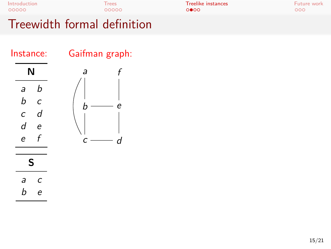| المروانة والكوام المعمومة الماعاة والمتحددة |       |                           |             |  |
|---------------------------------------------|-------|---------------------------|-------------|--|
| 00000                                       | 00000 | 0000                      | 000         |  |
| Introduction                                | Trees | <b>Treelike instances</b> | Future work |  |
|                                             |       |                           |             |  |

#### Treewidth formal definition



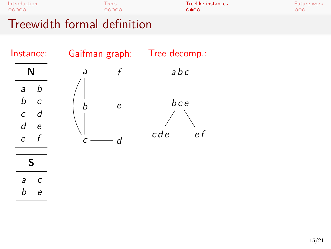

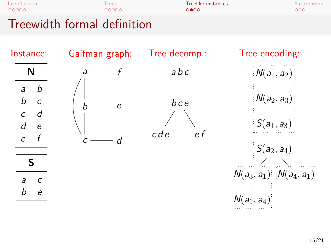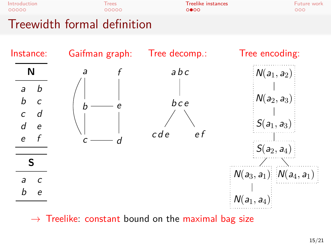

*→* Treelike: constant bound on the maximal bag size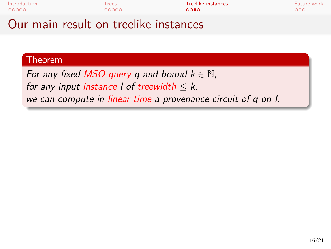

# Theorem

*For any fixed MSO query*  $q$  *and bound*  $k \in \mathbb{N}$ , *for any input instance l* of *treewidth*  $\leq k$ , *we can compute in linear time a provenance circuit of q on I.*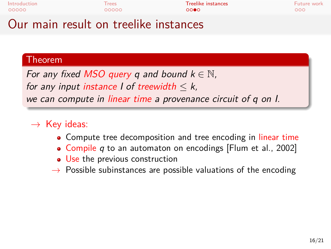

#### Theorem

*For any fixed MSO query*  $q$  and bound  $k \in \mathbb{N}$ , *for any input instance I of treewidth*  $\leq k$ , *we can compute in linear time a provenance circuit of q on I.*

#### *→* Key ideas:

- Compute tree decomposition and tree encoding in linear time
- Compile *q* to an automaton on encodings [Flum et al., 2002]
- Use the previous construction
- *→* Possible subinstances are possible valuations of the encoding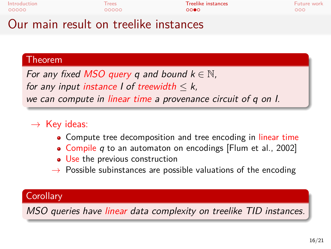

#### Theorem

*For any fixed MSO query*  $q$  and bound  $k \in \mathbb{N}$ , *for any input instance I of treewidth*  $\leq k$ , *we can compute in linear time a provenance circuit of q on I.*

#### *→* Key ideas:

- Compute tree decomposition and tree encoding in linear time
- Compile *q* to an automaton on encodings [Flum et al., 2002]
- Use the previous construction
- *→* Possible subinstances are possible valuations of the encoding

#### **Corollary**

*MSO queries have linear data complexity on treelike TID instances.*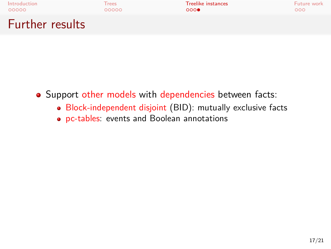

- Support other models with dependencies between facts:
	- Block-independent disjoint (BID): mutually exclusive facts
	- pc-tables: events and Boolean annotations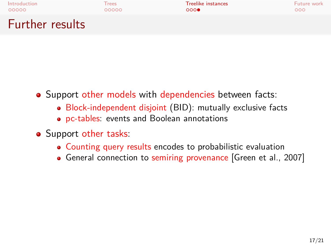| Introduction    | Trees | <b>Treelike instances</b> | Future work |
|-----------------|-------|---------------------------|-------------|
| 00000           | 00000 | 000                       | 000         |
| Further results |       |                           |             |

- Support other models with dependencies between facts:
	- Block-independent disjoint (BID): mutually exclusive facts
	- pc-tables: events and Boolean annotations
- Support other tasks:
	- Counting query results encodes to probabilistic evaluation
	- General connection to semiring provenance [Green et al., 2007]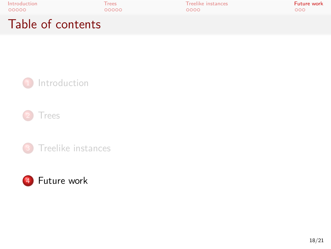



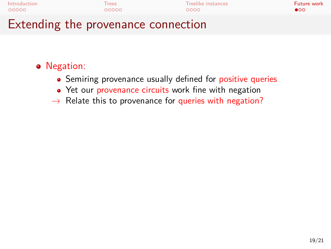| Introduction                        | <b>Trees</b> | Treelike instances | Future work  |
|-------------------------------------|--------------|--------------------|--------------|
| 00000                               | 00000        | റററെ               | $\bullet$ 00 |
| Extending the provenance connection |              |                    |              |

#### Negation:

- Semiring provenance usually defined for positive queries
- Yet our provenance circuits work fine with negation
- *→* Relate this to provenance for queries with negation?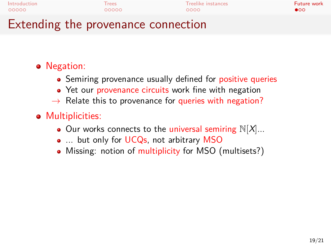| Introduction | <b>Trees</b> | Treelike instances | Future work  |
|--------------|--------------|--------------------|--------------|
| 00000        | 00000        | 0000               | $\bullet$ 00 |
| - -          |              |                    |              |

#### Extending the provenance connection

- Negation:
	- Semiring provenance usually defined for positive queries
	- Yet our provenance circuits work fine with negation
	- *→* Relate this to provenance for queries with negation?
- **•** Multiplicities:
	- $\bullet$  Our works connects to the universal semiring  $\mathbb{N}[X]...$
	- ... but only for UCQs, not arbitrary MSO
	- Missing: notion of multiplicity for MSO (multisets?)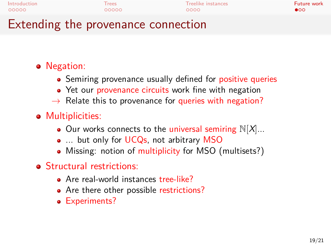| Introduction | <b>Trees</b> | Treelike instances | Future work |
|--------------|--------------|--------------------|-------------|
| 00000        | 00000        | 0000               | $\bullet$   |
|              |              |                    |             |

## Extending the provenance connection

- Negation:
	- Semiring provenance usually defined for positive queries
	- Yet our provenance circuits work fine with negation
	- *→* Relate this to provenance for queries with negation?
- Multiplicities:
	- $\bullet$  Our works connects to the universal semiring  $\mathbb{N}[X]...$
	- ... but only for UCQs, not arbitrary MSO
	- Missing: notion of multiplicity for MSO (multisets?)
- **•** Structural restrictions:
	- Are real-world instances tree-like?
	- Are there other possible restrictions?
	- Experiments?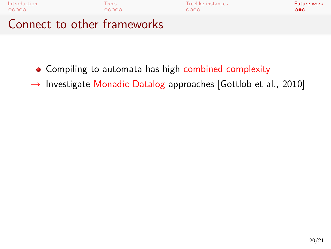

- Compiling to automata has high combined complexity
- *→* Investigate Monadic Datalog approaches [Gottlob et al., 2010]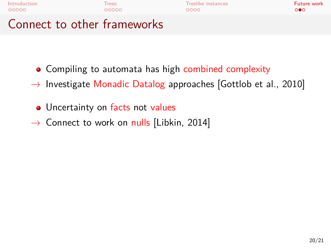

- Compiling to automata has high combined complexity
- *→* Investigate Monadic Datalog approaches [Gottlob et al., 2010]
- Uncertainty on facts not values
- *→* Connect to work on nulls [Libkin, 2014]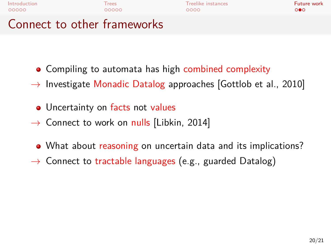

- Compiling to automata has high combined complexity
- *→* Investigate Monadic Datalog approaches [Gottlob et al., 2010]
- Uncertainty on facts not values
- *→* Connect to work on nulls [Libkin, 2014]
- What about reasoning on uncertain data and its implications?
- *→* Connect to tractable languages (e.g., guarded Datalog)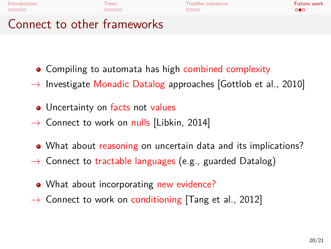| Introduction                | <b>Trees</b> | Treelike instances | Future work |
|-----------------------------|--------------|--------------------|-------------|
| 00000                       | 00000        | റററെ               | റ∙െ         |
| Connect to other frameworks |              |                    |             |

- - Compiling to automata has high combined complexity
	- *→* Investigate Monadic Datalog approaches [Gottlob et al., 2010]
	- Uncertainty on facts not values
	- *→* Connect to work on nulls [Libkin, 2014]
	- What about reasoning on uncertain data and its implications?
	- *→* Connect to tractable languages (e.g., guarded Datalog)
	- What about incorporating new evidence?
	- *→* Connect to work on conditioning [Tang et al., 2012]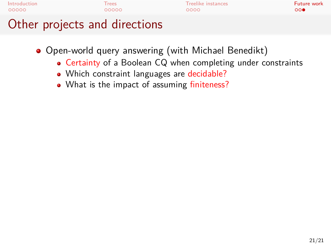

- Open-world query answering (with Michael Benedikt)
	- Certainty of a Boolean CQ when completing under constraints
	- Which constraint languages are decidable?
	- What is the impact of assuming finiteness?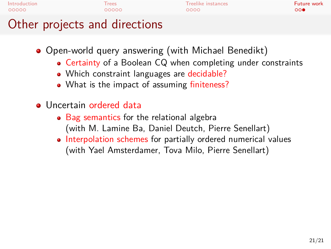| Introduction<br>Future work<br>Treelike instances<br><b>Trees</b><br>00000<br>00000<br>0000<br>$\circ\bullet$ | المعاقبه ويتألف المعامل ويتمايز ويتعارض والتكر |  |  |
|---------------------------------------------------------------------------------------------------------------|------------------------------------------------|--|--|
|                                                                                                               |                                                |  |  |

#### Other projects and directions

- Open-world query answering (with Michael Benedikt)
	- Certainty of a Boolean CQ when completing under constraints
	- Which constraint languages are decidable?
	- What is the impact of assuming finiteness?
- Uncertain ordered data
	- Bag semantics for the relational algebra (with M. Lamine Ba, Daniel Deutch, Pierre Senellart)
	- Interpolation schemes for partially ordered numerical values (with Yael Amsterdamer, Tova Milo, Pierre Senellart)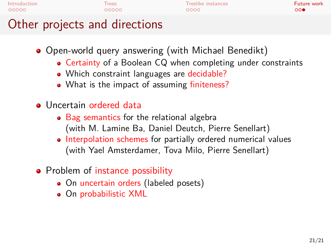|              | $\bigcap_{i=1}^{n}$ the second second second all the set of second |                    |             |
|--------------|--------------------------------------------------------------------|--------------------|-------------|
| 00000        | 00000                                                              | 0000               | 000         |
| Introduction | Trees                                                              | Treelike instances | Future work |

#### Other projects and directions

- Open-world query answering (with Michael Benedikt)
	- Certainty of a Boolean CQ when completing under constraints
	- Which constraint languages are decidable?
	- What is the impact of assuming finiteness?
- Uncertain ordered data
	- Bag semantics for the relational algebra (with M. Lamine Ba, Daniel Deutch, Pierre Senellart)
	- Interpolation schemes for partially ordered numerical values (with Yael Amsterdamer, Tova Milo, Pierre Senellart)
- Problem of instance possibility
	- On uncertain orders (labeled posets)
	- On probabilistic XML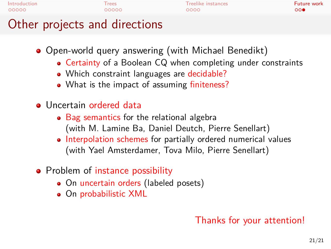|              | $\bigcap_{i=1}^{n}$ the second second second all the set of second |                    |             |
|--------------|--------------------------------------------------------------------|--------------------|-------------|
| 00000        | 00000                                                              | 0000               | 000         |
| Introduction | Trees                                                              | Treelike instances | Future work |

#### Other projects and directions

- Open-world query answering (with Michael Benedikt)
	- Certainty of a Boolean CQ when completing under constraints
	- Which constraint languages are decidable?
	- What is the impact of assuming finiteness?
- Uncertain ordered data
	- Bag semantics for the relational algebra (with M. Lamine Ba, Daniel Deutch, Pierre Senellart)
	- Interpolation schemes for partially ordered numerical values (with Yael Amsterdamer, Tova Milo, Pierre Senellart)
- Problem of instance possibility
	- On uncertain orders (labeled posets)
	- On probabilistic XML

#### Thanks for your attention!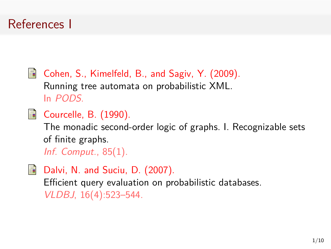#### References I

F Cohen, S., Kimelfeld, B., and Sagiv, Y. (2009). Running tree automata on probabilistic XML. In *PODS*.

**E** Courcelle, B. (1990).

The monadic second-order logic of graphs. I. Recognizable sets of finite graphs.

*Inf. Comput.*, 85(1).

量 Dalvi, N. and Suciu, D. (2007). Efficient query evaluation on probabilistic databases. *VLDBJ*, 16(4):523–544.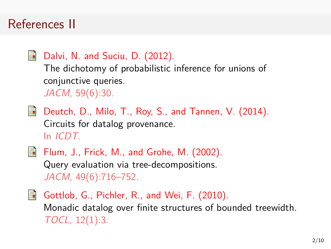#### References II

譶 Dalvi, N. and Suciu, D. (2012). The dichotomy of probabilistic inference for unions of conjunctive queries. *JACM*, 59(6):30.

**Experts** Deutch, D., Milo, T., Roy, S., and Tannen, V. (2014). Circuits for datalog provenance. In *ICDT*.

 $\Box$  Flum, J., Frick, M., and Grohe, M. (2002). Query evaluation via tree-decompositions. *JACM*, 49(6):716–752.

F. Gottlob, G., Pichler, R., and Wei, F. (2010). Monadic datalog over finite structures of bounded treewidth. *TOCL*, 12(1):3.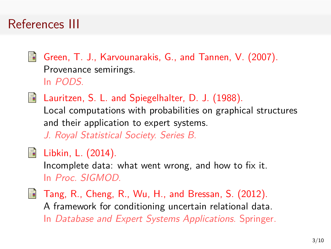### References III

譶

Green, T. J., Karvounarakis, G., and Tannen, V. (2007). Provenance semirings. In *PODS*.

**Lauritzen, S. L. and Spiegelhalter, D. J. (1988).** 

Local computations with probabilities on graphical structures and their application to expert systems.

*J. Royal Statistical Society. Series B*.

Libkin, L. (2014). 譶

Incomplete data: what went wrong, and how to fix it. In *Proc. SIGMOD*.

**Tang, R., Cheng, R., Wu, H., and Bressan, S. (2012).** A framework for conditioning uncertain relational data. In *Database and Expert Systems Applications*. Springer.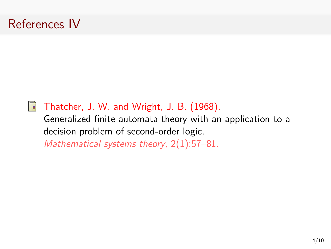### References IV



#### Thatcher, J. W. and Wright, J. B. (1968).

Generalized finite automata theory with an application to a decision problem of second-order logic.

*Mathematical systems theory*, 2(1):57–81.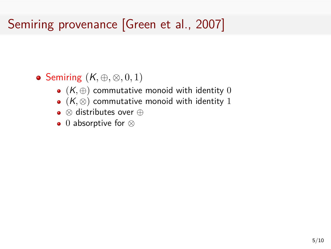# Semiring provenance [Green et al., 2007]

- Semiring (*K, ⊕, ⊗,* 0*,* 1)
	- (*K, ⊕*) commutative monoid with identity 0
	- (*K, ⊗*) commutative monoid with identity 1
	- *⊗* distributes over *⊕*
	- 0 absorptive for *⊗*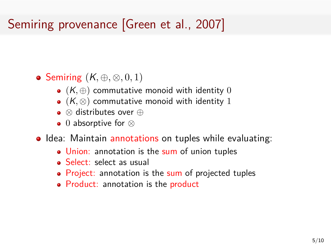# Semiring provenance [Green et al., 2007]

- Semiring (*K, ⊕, ⊗,* 0*,* 1)
	- (*K, ⊕*) commutative monoid with identity 0
	- (*K, ⊗*) commutative monoid with identity 1
	- *⊗* distributes over *⊕*
	- 0 absorptive for *⊗*
- $\bullet$  Idea: Maintain annotations on tuples while evaluating:
	- Union: annotation is the sum of union tuples
	- Select: select as usual
	- Project: annotation is the sum of projected tuples
	- Product: annotation is the product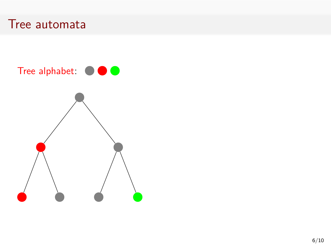

#### Tree alphabet:  $\bullet \bullet \bullet$

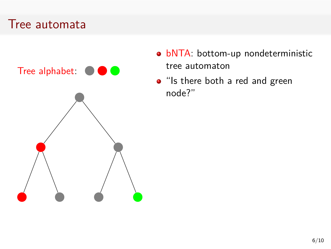

- · bNTA: bottom-up nondeterministic tree automaton
- "Is there both a red and green node?"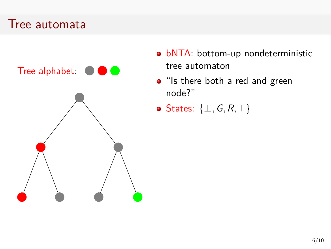

- · bNTA: bottom-up nondeterministic tree automaton
- "Is there both a red and green node?"
- States: *{⊥,G, R, ⊤}*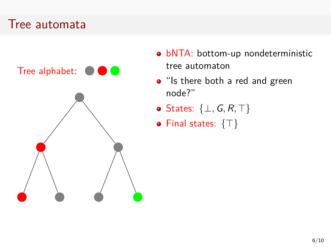

- · bNTA: bottom-up nondeterministic tree automaton
- "Is there both a red and green node?"
- States: *{⊥,G, R, ⊤}*
- Final states: *{⊤}*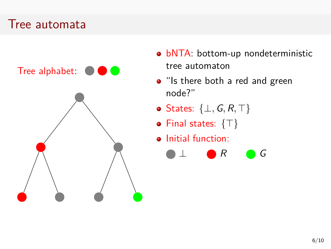

- **bNTA**: bottom-up nondeterministic tree automaton
- "Is there both a red and green node?"
- States: *{⊥,G, R, ⊤}*
- Final states: *{⊤}*
- **•** Initial function:

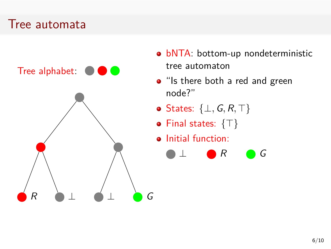

- **bNTA**: bottom-up nondeterministic tree automaton
- "Is there both a red and green node?"
- States: *{⊥,G, R, ⊤}*
- Final states: *{⊤}*
- **•** Initial function:

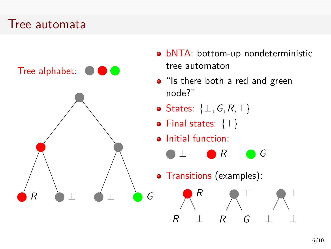#### Tree automata

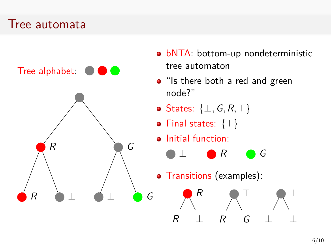#### Tree automata

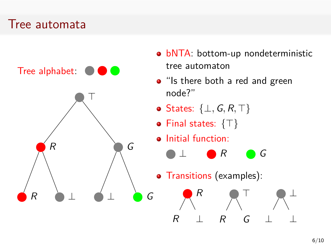#### Tree automata

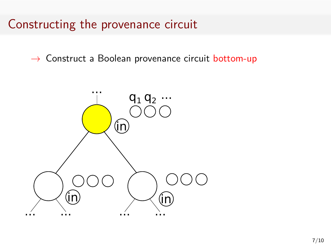### Constructing the provenance circuit

*→* Construct a Boolean provenance circuit bottom-up

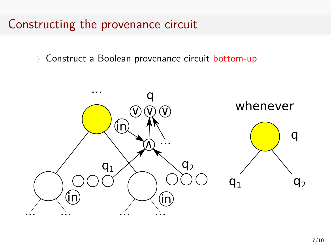### Constructing the provenance circuit

*→* Construct a Boolean provenance circuit bottom-up

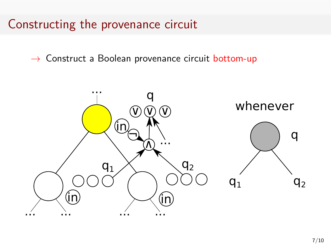### Constructing the provenance circuit

*→* Construct a Boolean provenance circuit bottom-up

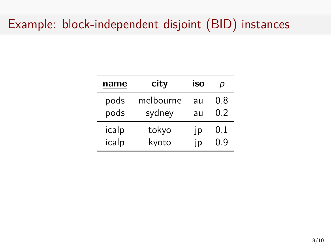# Example: block-independent disjoint (BID) instances

| name  | city      | iso | р   |
|-------|-----------|-----|-----|
| pods  | melbourne | au  | 0.8 |
| pods  | sydney    | au  | 0.2 |
| icalp | tokyo     | p   | 0.1 |
| icalp | kyoto     | ID  | በ ዓ |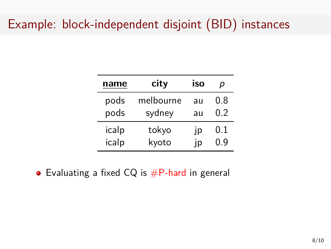## Example: block-independent disjoint (BID) instances

| name  | city      | <b>iso</b> | D   |
|-------|-----------|------------|-----|
| pods  | melbourne | au         | 0.8 |
| pods  | sydney    | au         | 0.2 |
| icalp | tokyo     | ١p         | 0.1 |
| icalp | kyoto     | ID         | በ ዓ |

• Evaluating a fixed  $CQ$  is  $#P$ -hard in general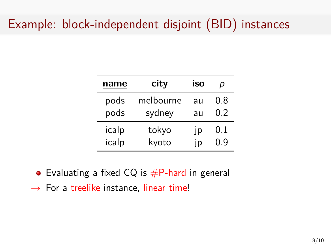# Example: block-independent disjoint (BID) instances

| name  | city      | <b>iso</b> | D   |
|-------|-----------|------------|-----|
| pods  | melbourne | au         | 0.8 |
| pods  | sydney    | au         | 0.2 |
| icalp | tokyo     | IP         | 0.1 |
| icalp | kyoto     | ID         | ი ფ |

• Evaluating a fixed  $CQ$  is  $#P$ -hard in general *→* For a treelike instance, linear time!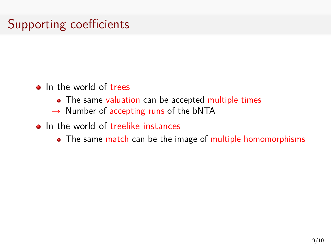# Supporting coefficients

- **o** In the world of trees
	- The same valuation can be accepted multiple times
	- *→* Number of accepting runs of the bNTA
- **o** In the world of treelike instances
	- The same match can be the image of multiple homomorphisms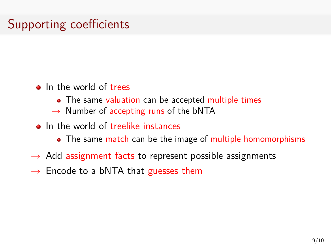# Supporting coefficients

- In the world of trees
	- The same valuation can be accepted multiple times
	- *→* Number of accepting runs of the bNTA
- **o** In the world of treelike instances
	- The same match can be the image of multiple homomorphisms
- *→* Add assignment facts to represent possible assignments
- *→* Encode to a bNTA that guesses them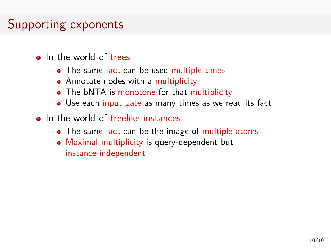## Supporting exponents

- In the world of trees
	- The same fact can be used multiple times
	- Annotate nodes with a multiplicity
	- The bNTA is monotone for that multiplicity
	- Use each input gate as many times as we read its fact
- In the world of treelike instances
	- The same fact can be the image of multiple atoms
	- Maximal multiplicity is query-dependent but instance-independent